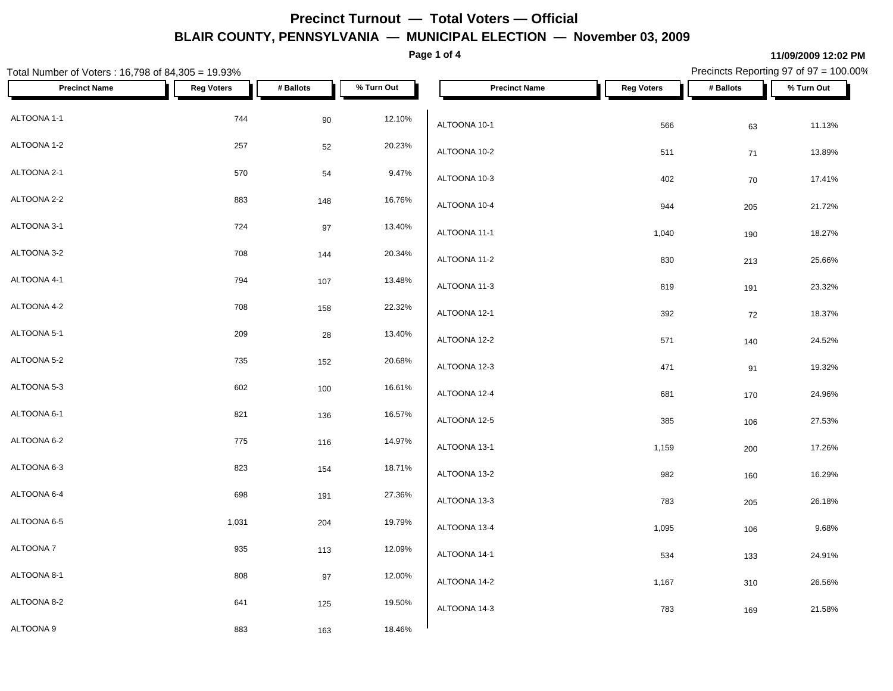**Page 1 of 4**

### **11/09/2009 12:02 PM**

| Total Number of Voters: 16,798 of 84,305 = 19.93% |                   |           |            |                      |                   |           | Precincts Reporting 97 of 97 = 100.00% |
|---------------------------------------------------|-------------------|-----------|------------|----------------------|-------------------|-----------|----------------------------------------|
| <b>Precinct Name</b>                              | <b>Reg Voters</b> | # Ballots | % Turn Out | <b>Precinct Name</b> | <b>Reg Voters</b> | # Ballots | % Turn Out                             |
| ALTOONA 1-1                                       | 744               | 90        | 12.10%     | ALTOONA 10-1         | 566               | 63        | 11.13%                                 |
| ALTOONA 1-2                                       | 257               | 52        | 20.23%     | ALTOONA 10-2         | 511               | 71        | 13.89%                                 |
| ALTOONA 2-1                                       | 570               | 54        | 9.47%      | ALTOONA 10-3         | 402               | 70        | 17.41%                                 |
| ALTOONA 2-2                                       | 883               | 148       | 16.76%     | ALTOONA 10-4         | 944               | 205       | 21.72%                                 |
| ALTOONA 3-1                                       | 724               | 97        | 13.40%     | ALTOONA 11-1         | 1,040             | 190       | 18.27%                                 |
| ALTOONA 3-2                                       | 708               | 144       | 20.34%     | ALTOONA 11-2         | 830               | 213       | 25.66%                                 |
| ALTOONA 4-1                                       | 794               | 107       | 13.48%     | ALTOONA 11-3         | 819               | 191       | 23.32%                                 |
| ALTOONA 4-2                                       | 708               | 158       | 22.32%     | ALTOONA 12-1         | 392               | 72        | 18.37%                                 |
| ALTOONA 5-1                                       | 209               | 28        | 13.40%     | ALTOONA 12-2         | 571               | 140       | 24.52%                                 |
| ALTOONA 5-2                                       | 735               | 152       | 20.68%     | ALTOONA 12-3         | 471               | 91        | 19.32%                                 |
| ALTOONA 5-3                                       | 602               | 100       | 16.61%     | ALTOONA 12-4         | 681               | 170       | 24.96%                                 |
| ALTOONA 6-1                                       | 821               | 136       | 16.57%     | ALTOONA 12-5         | 385               | 106       | 27.53%                                 |
| ALTOONA 6-2                                       | 775               | 116       | 14.97%     | ALTOONA 13-1         | 1,159             | 200       | 17.26%                                 |
| ALTOONA 6-3                                       | 823               | 154       | 18.71%     | ALTOONA 13-2         | 982               | 160       | 16.29%                                 |
| ALTOONA 6-4                                       | 698               | 191       | 27.36%     | ALTOONA 13-3         | 783               | 205       | 26.18%                                 |
| ALTOONA 6-5                                       | 1,031             | 204       | 19.79%     | ALTOONA 13-4         | 1,095             | 106       | 9.68%                                  |
| ALTOONA 7                                         | 935               | 113       | 12.09%     | ALTOONA 14-1         | 534               | 133       | 24.91%                                 |
| ALTOONA 8-1                                       | 808               | 97        | 12.00%     | ALTOONA 14-2         | 1,167             | 310       | 26.56%                                 |
| ALTOONA 8-2                                       | 641               | 125       | 19.50%     | ALTOONA 14-3         | 783               | 169       | 21.58%                                 |
| ALTOONA 9                                         | 883               | 163       | 18.46%     |                      |                   |           |                                        |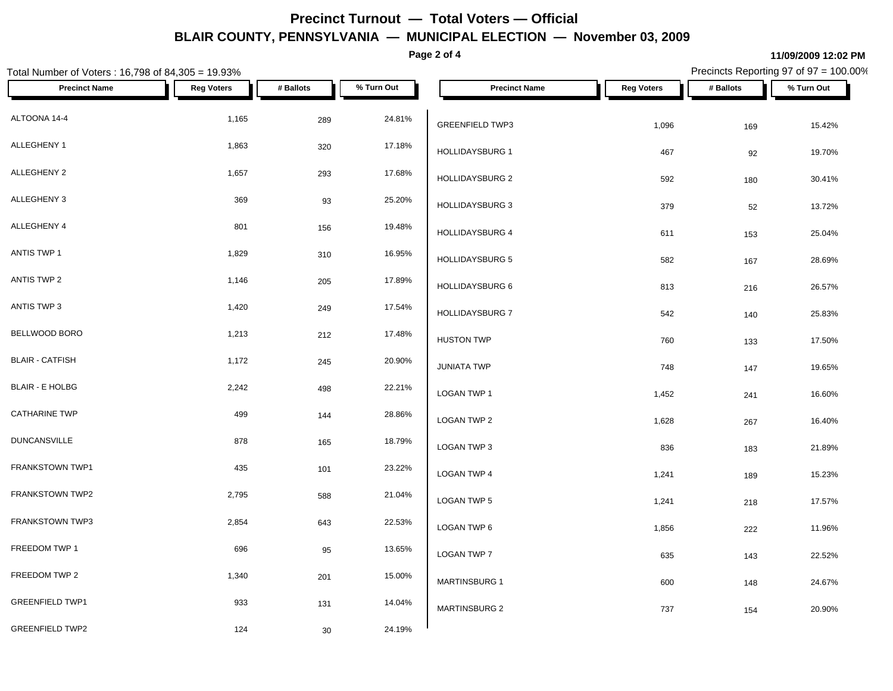**Page 2 of 4**

#### **11/09/2009 12:02 PM**

Total Number of Voters : 16,798 of 84,305 = 19.93% Precincts Reporting 97 of 97 = 100.00% **Precinct Name Reg Voters # Ballots % Turn Out Precinct Name Reg Voters # Ballots % Turn Out**  $\triangle$ ETOONA 14-4 289 24.81% 289 24.81%  $\triangle$ ALLEGHENY 1 1,863 320 17.18% ALLEGHENY 2  $1,657$  293  $17.68\%$   $1,1011R$   $101R$ ALLEGHENY 3  $369$   $93$   $25.20\%$   $10011R$   $1001R$ ALLEGHENY 4  $\begin{array}{ccc} 801 & 156 & 19.48\% \\ 110 & 110.110\ \end{array}$ ANTIS TWP 1 1,000 1,000 1,000 1,000 1,000 1,000 1,000 1,000 1,000 1,000 1,000 1,000 1,000 1,000 1,000 1,000 1,000 1,000 1,000 1,000 1,000 1,000 1,000 1,000 1,000 1,000 1,000 1,000 1,000 1,000 1,000 1,000 1,000 1,000 1,000  $\text{ANTIS TWP 2}$  205 1,146 205 17.89%  $\bigcup_{1,1}\{1,1\}$ ANTIS TWP 3 1,420 249 249 17.54% 1,000 PM 200 249 BELLWOOD BORO 1,213 212 17.48% BLAIR - CATFISH 1,172 245 20.90% BLAIR - E HOLBG  $2,242$   $498$   $22.21\%$   $1,0000$  TMP 1  $\textsf{CATHARINE TWP}$  144 28.86%  $\bigcup_{\textsf{CCAM-TMPS} \textsf{C}}$ DUNCANSVILLE  $878$  878 165 18.79% 16.000 TMP 3 FRANKSTOWN TWP1 **101** 435 101 23.22% LOGAN TWP 4 FRANKSTOWN TWP2 2,795 296 588 21.04% LOGAN TWP 5 FRANKSTOWN TWP3 2,854 22.53% LOGAN TWP 6 FREEDOM TWP 1 696 696 696 95 13.65% 10.00 A TWP 7 FREEDOM TWP 2  $1,340$   $201$   $15.00\%$   $M\Omega$   $M\Omega$   $M\Omega$ GREENFIELD TWP1 **14.04%** 133 131 14.04% GREENFIELD TWP2 124 30 24.19% GREENFIELD TWP3 1,096 169 169 15.42% HOLLIDAYSBURG 1 **467** 467 92 19.70% HOLLIDAYSBURG 2 592 592 180 30.41%  $HOLLIDAYSBURG$  3  $379$   $52$   $13.72\%$ HOLLIDAYSBURG 4 611 153 25.04% HOLLIDAYSBURG 5 582 167 28.69% HOLLIDAYSBURG 6 813 216 26.57%  $HOLLIDAYSBURG$  7 542 140 25.83% HUSTON TWP **133** 17.50%  $JUNIATA$  TWP  $T48$   $T47$   $T47$   $T48$   $T47$   $T48$ LOGAN TWP 1 1,452 241 16.60% LOGAN TWP 2 1,628 267 16.40% LOGAN TWP 3 836 183 21.89%  $\,$  LOGAN TWP 4  $\,$  1,241  $\,$  189  $\,$  15.23%  $\,$ LOGAN TWP 5 1,241 218 218 17.57%  $\,$  LOGAN TWP 6  $\,$  1,856  $\,$  222  $\,$  11.96%  $\,$  $\textsf{\small LOGAN\,TWP\,7}\qquad \qquad 635\qquad \qquad 143\qquad \qquad 22.52\%$  $MARTINSBURG 1$  600  $148$  24.67% MARTINSBURG 2 737 154 20.90%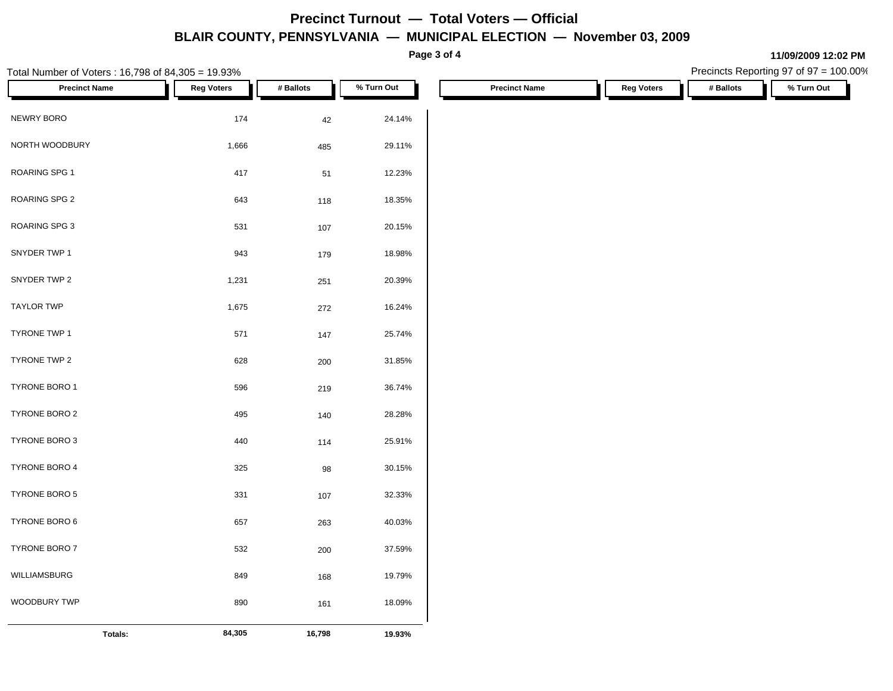**Page 3 of 4**

| Total Number of Voters: 16,798 of 84,305 = 19.93% |                   |           |            |                      |                   | Precincts Reporting 97 of 97 = 100.00% |            |
|---------------------------------------------------|-------------------|-----------|------------|----------------------|-------------------|----------------------------------------|------------|
| <b>Precinct Name</b>                              | <b>Reg Voters</b> | # Ballots | % Turn Out | <b>Precinct Name</b> | <b>Reg Voters</b> | # Ballots                              | % Turn Out |
| NEWRY BORO                                        | 174               | $42\,$    | 24.14%     |                      |                   |                                        |            |
| NORTH WOODBURY                                    | 1,666             | 485       | 29.11%     |                      |                   |                                        |            |
| ROARING SPG 1                                     | 417               | 51        | 12.23%     |                      |                   |                                        |            |
| ROARING SPG 2                                     | 643               | 118       | 18.35%     |                      |                   |                                        |            |
| ROARING SPG 3                                     | 531               | 107       | 20.15%     |                      |                   |                                        |            |
| SNYDER TWP 1                                      | 943               | 179       | 18.98%     |                      |                   |                                        |            |
| SNYDER TWP 2                                      | 1,231             | 251       | 20.39%     |                      |                   |                                        |            |
| TAYLOR TWP                                        | 1,675             | 272       | 16.24%     |                      |                   |                                        |            |
| TYRONE TWP 1                                      | 571               | 147       | 25.74%     |                      |                   |                                        |            |
| TYRONE TWP 2                                      | 628               | 200       | 31.85%     |                      |                   |                                        |            |
| TYRONE BORO 1                                     | 596               | 219       | 36.74%     |                      |                   |                                        |            |
| TYRONE BORO 2                                     | 495               | 140       | 28.28%     |                      |                   |                                        |            |
| TYRONE BORO 3                                     | 440               | 114       | 25.91%     |                      |                   |                                        |            |
| TYRONE BORO 4                                     | 325               | 98        | 30.15%     |                      |                   |                                        |            |
| TYRONE BORO 5                                     | 331               | 107       | 32.33%     |                      |                   |                                        |            |
| TYRONE BORO 6                                     | 657               | 263       | 40.03%     |                      |                   |                                        |            |
| TYRONE BORO 7                                     | 532               | 200       | 37.59%     |                      |                   |                                        |            |
| WILLIAMSBURG                                      | 849               | 168       | 19.79%     |                      |                   |                                        |            |
| WOODBURY TWP                                      | 890               | 161       | 18.09%     |                      |                   |                                        |            |
| Totals:                                           | 84,305            | 16,798    | 19.93%     |                      |                   |                                        |            |

### **11/09/2009 12:02 PM**